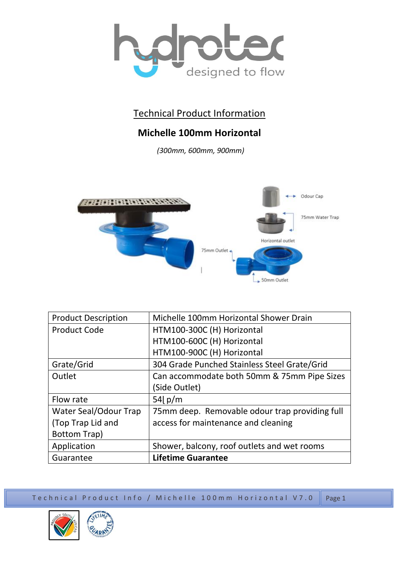

## Technical Product Information

## **Michelle 100mm Horizontal**

*(300mm, 600mm, 900mm)*



| <b>Product Description</b> | Michelle 100mm Horizontal Shower Drain         |
|----------------------------|------------------------------------------------|
| <b>Product Code</b>        | HTM100-300C (H) Horizontal                     |
|                            | HTM100-600C (H) Horizontal                     |
|                            | HTM100-900C (H) Horizontal                     |
| Grate/Grid                 | 304 Grade Punched Stainless Steel Grate/Grid   |
| Outlet                     | Can accommodate both 50mm & 75mm Pipe Sizes    |
|                            | (Side Outlet)                                  |
| Flow rate                  | 54 $p/m$                                       |
| Water Seal/Odour Trap      | 75mm deep. Removable odour trap providing full |
| (Top Trap Lid and          | access for maintenance and cleaning            |
| <b>Bottom Trap)</b>        |                                                |
| Application                | Shower, balcony, roof outlets and wet rooms    |
| Guarantee                  | <b>Lifetime Guarantee</b>                      |

Te chnical Product Info / Michelle 100mm Horizontal V7.0 Page 1